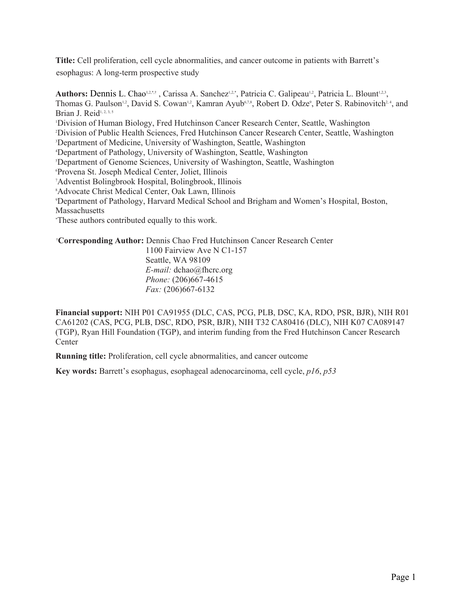**Title:** Cell proliferation, cell cycle abnormalities, and cancer outcome in patients with Barrett's esophagus: A long-term prospective study

Authors: Dennis L. Chao<sup>1,2,\*,†</sup>, Carissa A. Sanchez<sup>1,2,\*</sup>, Patricia C. Galipeau<sup>1,2</sup>, Patricia L. Blount<sup>1,2,3</sup>, Thomas G. Paulson<sup>1,2</sup>, David S. Cowan<sup>1,2</sup>, Kamran Ayub<sup>6,7,8</sup>, Robert D. Odze<sup>9</sup>, Peter S. Rabinovitch<sup>2,4</sup>, and Brian J. Reid<sup>1, 2, 3, 5</sup> 1 Division of Human Biology, Fred Hutchinson Cancer Research Center, Seattle, Washington Pivision of Public Health Sciences, Fred Hutchinson Cancer Research Center, Seattle, Washington<br>Department of Medicine, University of Washington, Seattle, Washington Department of Medicine, University of Washington, Seattle, Washington 4 Department of Pathology, University of Washington, Seattle, Washington 5 Department of Genome Sciences, University of Washington, Seattle, Washington 6 Provena St. Joseph Medical Center, Joliet, Illinois 7 Adventist Bolingbrook Hospital, Bolingbrook, Illinois 8 Advocate Christ Medical Center, Oak Lawn, Illinois 9 Department of Pathology, Harvard Medical School and Brigham and Women's Hospital, Boston, Massachusetts

\* These authors contributed equally to this work.

† **Corresponding Author:** Dennis Chao Fred Hutchinson Cancer Research Center 1100 Fairview Ave N C1-157 Seattle, WA 98109 *E-mail:* dchao@fhcrc.org *Phone:* (206)667-4615 *Fax:* (206)667-6132

**Financial support:** NIH P01 CA91955 (DLC, CAS, PCG, PLB, DSC, KA, RDO, PSR, BJR), NIH R01 CA61202 (CAS, PCG, PLB, DSC, RDO, PSR, BJR), NIH T32 CA80416 (DLC), NIH K07 CA089147 (TGP), Ryan Hill Foundation (TGP), and interim funding from the Fred Hutchinson Cancer Research Center

**Running title:** Proliferation, cell cycle abnormalities, and cancer outcome

**Key words:** Barrett's esophagus, esophageal adenocarcinoma, cell cycle, *p16*, *p53*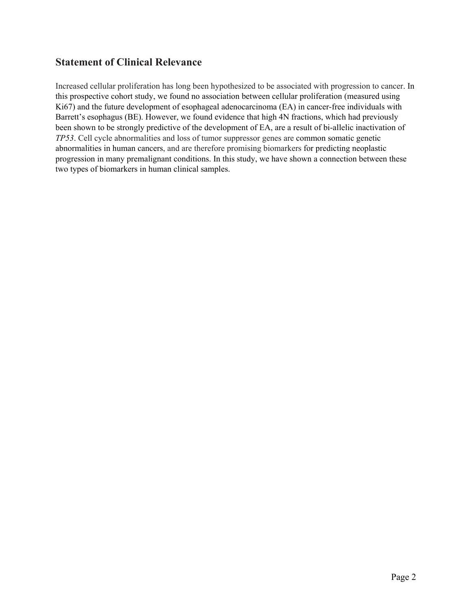# **Statement of Clinical Relevance**

Increased cellular proliferation has long been hypothesized to be associated with progression to cancer. In this prospective cohort study, we found no association between cellular proliferation (measured using Ki67) and the future development of esophageal adenocarcinoma (EA) in cancer-free individuals with Barrett's esophagus (BE). However, we found evidence that high 4N fractions, which had previously been shown to be strongly predictive of the development of EA, are a result of bi-allelic inactivation of *TP53*. Cell cycle abnormalities and loss of tumor suppressor genes are common somatic genetic abnormalities in human cancers, and are therefore promising biomarkers for predicting neoplastic progression in many premalignant conditions. In this study, we have shown a connection between these two types of biomarkers in human clinical samples.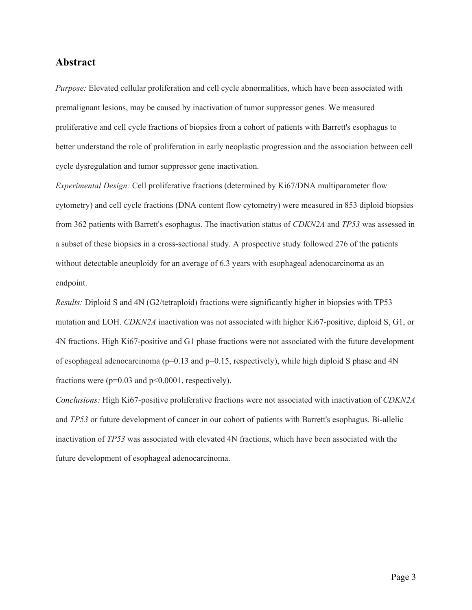### **Abstract**

*Purpose:* Elevated cellular proliferation and cell cycle abnormalities, which have been associated with premalignant lesions, may be caused by inactivation of tumor suppressor genes. We measured proliferative and cell cycle fractions of biopsies from a cohort of patients with Barrett's esophagus to better understand the role of proliferation in early neoplastic progression and the association between cell cycle dysregulation and tumor suppressor gene inactivation.

*Experimental Design:* Cell proliferative fractions (determined by Ki67/DNA multiparameter flow cytometry) and cell cycle fractions (DNA content flow cytometry) were measured in 853 diploid biopsies from 362 patients with Barrett's esophagus. The inactivation status of *CDKN2A* and *TP53* was assessed in a subset of these biopsies in a cross-sectional study. A prospective study followed 276 of the patients without detectable aneuploidy for an average of 6.3 years with esophageal adenocarcinoma as an endpoint.

*Results:* Diploid S and 4N (G2/tetraploid) fractions were significantly higher in biopsies with TP53 mutation and LOH. *CDKN2A* inactivation was not associated with higher Ki67-positive, diploid S, G1, or 4N fractions. High Ki67-positive and G1 phase fractions were not associated with the future development of esophageal adenocarcinoma ( $p=0.13$  and  $p=0.15$ , respectively), while high diploid S phase and 4N fractions were  $(p=0.03$  and  $p<0.0001$ , respectively).

*Conclusions:* High Ki67-positive proliferative fractions were not associated with inactivation of *CDKN2A* and *TP53* or future development of cancer in our cohort of patients with Barrett's esophagus. Bi-allelic inactivation of *TP53* was associated with elevated 4N fractions, which have been associated with the future development of esophageal adenocarcinoma.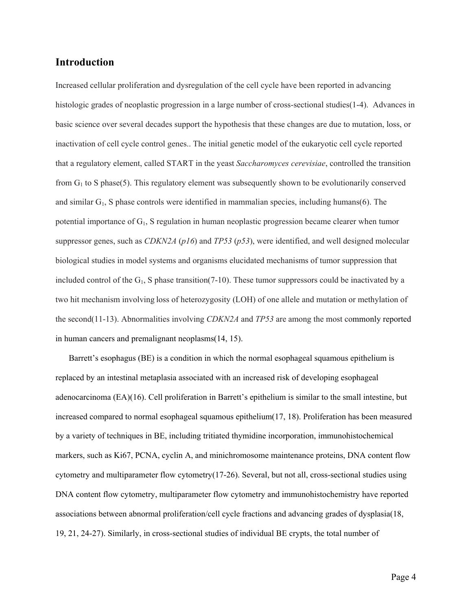## **Introduction**

Increased cellular proliferation and dysregulation of the cell cycle have been reported in advancing histologic grades of neoplastic progression in a large number of cross-sectional studies(1-4). Advances in basic science over several decades support the hypothesis that these changes are due to mutation, loss, or inactivation of cell cycle control genes.. The initial genetic model of the eukaryotic cell cycle reported that a regulatory element, called START in the yeast *Saccharomyces cerevisiae*, controlled the transition from  $G_1$  to S phase(5). This regulatory element was subsequently shown to be evolutionarily conserved and similar G1, S phase controls were identified in mammalian species, including humans(6). The potential importance of G1, S regulation in human neoplastic progression became clearer when tumor suppressor genes, such as *CDKN2A* (*p16*) and *TP53* (*p53*), were identified, and well designed molecular biological studies in model systems and organisms elucidated mechanisms of tumor suppression that included control of the  $G_1$ , S phase transition(7-10). These tumor suppressors could be inactivated by a two hit mechanism involving loss of heterozygosity (LOH) of one allele and mutation or methylation of the second(11-13). Abnormalities involving *CDKN2A* and *TP53* are among the most commonly reported in human cancers and premalignant neoplasms(14, 15).

Barrett's esophagus (BE) is a condition in which the normal esophageal squamous epithelium is replaced by an intestinal metaplasia associated with an increased risk of developing esophageal adenocarcinoma (EA)(16). Cell proliferation in Barrett's epithelium is similar to the small intestine, but increased compared to normal esophageal squamous epithelium(17, 18). Proliferation has been measured by a variety of techniques in BE, including tritiated thymidine incorporation, immunohistochemical markers, such as Ki67, PCNA, cyclin A, and minichromosome maintenance proteins, DNA content flow cytometry and multiparameter flow cytometry(17-26). Several, but not all, cross-sectional studies using DNA content flow cytometry, multiparameter flow cytometry and immunohistochemistry have reported associations between abnormal proliferation/cell cycle fractions and advancing grades of dysplasia(18, 19, 21, 24-27). Similarly, in cross-sectional studies of individual BE crypts, the total number of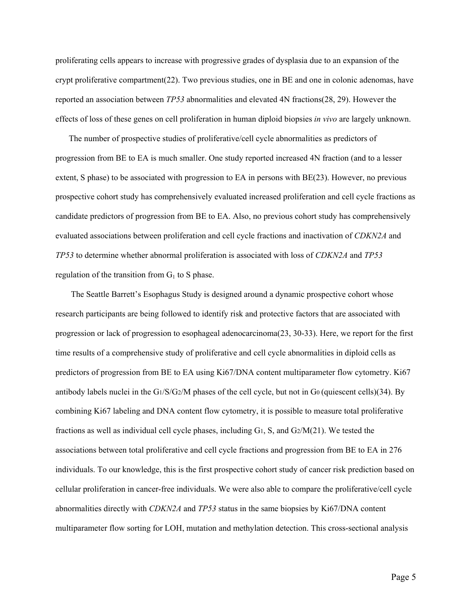proliferating cells appears to increase with progressive grades of dysplasia due to an expansion of the crypt proliferative compartment(22). Two previous studies, one in BE and one in colonic adenomas, have reported an association between *TP53* abnormalities and elevated 4N fractions(28, 29). However the effects of loss of these genes on cell proliferation in human diploid biopsies *in vivo* are largely unknown.

The number of prospective studies of proliferative/cell cycle abnormalities as predictors of progression from BE to EA is much smaller. One study reported increased 4N fraction (and to a lesser extent, S phase) to be associated with progression to EA in persons with BE(23). However, no previous prospective cohort study has comprehensively evaluated increased proliferation and cell cycle fractions as candidate predictors of progression from BE to EA. Also, no previous cohort study has comprehensively evaluated associations between proliferation and cell cycle fractions and inactivation of *CDKN2A* and *TP53* to determine whether abnormal proliferation is associated with loss of *CDKN2A* and *TP53* regulation of the transition from  $G_1$  to S phase.

 The Seattle Barrett's Esophagus Study is designed around a dynamic prospective cohort whose research participants are being followed to identify risk and protective factors that are associated with progression or lack of progression to esophageal adenocarcinoma(23, 30-33). Here, we report for the first time results of a comprehensive study of proliferative and cell cycle abnormalities in diploid cells as predictors of progression from BE to EA using Ki67/DNA content multiparameter flow cytometry. Ki67 antibody labels nuclei in the  $G_1/S/G_2/M$  phases of the cell cycle, but not in G<sub>0</sub> (quiescent cells)(34). By combining Ki67 labeling and DNA content flow cytometry, it is possible to measure total proliferative fractions as well as individual cell cycle phases, including G1, S, and G2/M(21). We tested the associations between total proliferative and cell cycle fractions and progression from BE to EA in 276 individuals. To our knowledge, this is the first prospective cohort study of cancer risk prediction based on cellular proliferation in cancer-free individuals. We were also able to compare the proliferative/cell cycle abnormalities directly with *CDKN2A* and *TP53* status in the same biopsies by Ki67/DNA content multiparameter flow sorting for LOH, mutation and methylation detection. This cross-sectional analysis

Page 5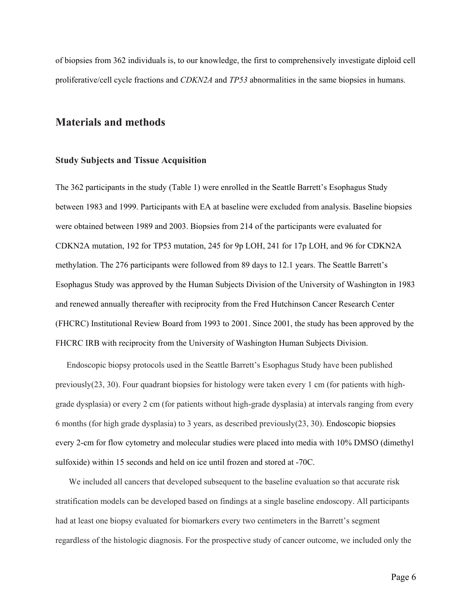of biopsies from 362 individuals is, to our knowledge, the first to comprehensively investigate diploid cell proliferative/cell cycle fractions and *CDKN2A* and *TP53* abnormalities in the same biopsies in humans.

### **Materials and methods**

#### **Study Subjects and Tissue Acquisition**

The 362 participants in the study (Table 1) were enrolled in the Seattle Barrett's Esophagus Study between 1983 and 1999. Participants with EA at baseline were excluded from analysis. Baseline biopsies were obtained between 1989 and 2003. Biopsies from 214 of the participants were evaluated for CDKN2A mutation, 192 for TP53 mutation, 245 for 9p LOH, 241 for 17p LOH, and 96 for CDKN2A methylation. The 276 participants were followed from 89 days to 12.1 years. The Seattle Barrett's Esophagus Study was approved by the Human Subjects Division of the University of Washington in 1983 and renewed annually thereafter with reciprocity from the Fred Hutchinson Cancer Research Center (FHCRC) Institutional Review Board from 1993 to 2001. Since 2001, the study has been approved by the FHCRC IRB with reciprocity from the University of Washington Human Subjects Division.

Endoscopic biopsy protocols used in the Seattle Barrett's Esophagus Study have been published previously(23, 30). Four quadrant biopsies for histology were taken every 1 cm (for patients with highgrade dysplasia) or every 2 cm (for patients without high-grade dysplasia) at intervals ranging from every 6 months (for high grade dysplasia) to 3 years, as described previously(23, 30). Endoscopic biopsies every 2-cm for flow cytometry and molecular studies were placed into media with 10% DMSO (dimethyl sulfoxide) within 15 seconds and held on ice until frozen and stored at -70C.

We included all cancers that developed subsequent to the baseline evaluation so that accurate risk stratification models can be developed based on findings at a single baseline endoscopy. All participants had at least one biopsy evaluated for biomarkers every two centimeters in the Barrett's segment regardless of the histologic diagnosis. For the prospective study of cancer outcome, we included only the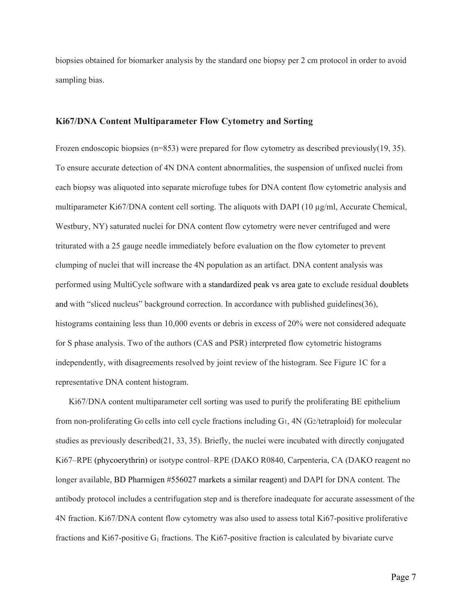biopsies obtained for biomarker analysis by the standard one biopsy per 2 cm protocol in order to avoid sampling bias.

#### **Ki67/DNA Content Multiparameter Flow Cytometry and Sorting**

Frozen endoscopic biopsies (n=853) were prepared for flow cytometry as described previously(19, 35). To ensure accurate detection of 4N DNA content abnormalities, the suspension of unfixed nuclei from each biopsy was aliquoted into separate microfuge tubes for DNA content flow cytometric analysis and multiparameter Ki67/DNA content cell sorting. The aliquots with DAPI (10 µg/ml, Accurate Chemical, Westbury, NY) saturated nuclei for DNA content flow cytometry were never centrifuged and were triturated with a 25 gauge needle immediately before evaluation on the flow cytometer to prevent clumping of nuclei that will increase the 4N population as an artifact. DNA content analysis was performed using MultiCycle software with a standardized peak vs area gate to exclude residual doublets and with "sliced nucleus" background correction. In accordance with published guidelines(36), histograms containing less than 10,000 events or debris in excess of 20% were not considered adequate for S phase analysis. Two of the authors (CAS and PSR) interpreted flow cytometric histograms independently, with disagreements resolved by joint review of the histogram. See Figure 1C for a representative DNA content histogram.

Ki67/DNA content multiparameter cell sorting was used to purify the proliferating BE epithelium from non-proliferating G0 cells into cell cycle fractions including G1, 4N (G2/tetraploid) for molecular studies as previously described(21, 33, 35). Briefly, the nuclei were incubated with directly conjugated Ki67–RPE (phycoerythrin) or isotype control–RPE (DAKO R0840, Carpenteria, CA (DAKO reagent no longer available, BD Pharmigen #556027 markets a similar reagent) and DAPI for DNA content. The antibody protocol includes a centrifugation step and is therefore inadequate for accurate assessment of the 4N fraction. Ki67/DNA content flow cytometry was also used to assess total Ki67-positive proliferative fractions and Ki67-positive  $G_1$  fractions. The Ki67-positive fraction is calculated by bivariate curve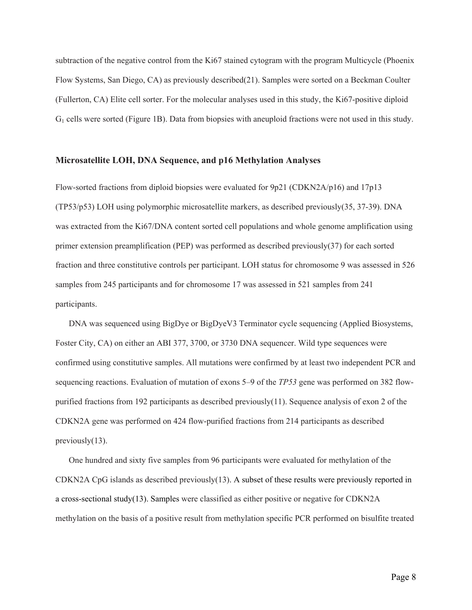subtraction of the negative control from the Ki67 stained cytogram with the program Multicycle (Phoenix Flow Systems, San Diego, CA) as previously described(21). Samples were sorted on a Beckman Coulter (Fullerton, CA) Elite cell sorter. For the molecular analyses used in this study, the Ki67-positive diploid  $G_1$  cells were sorted (Figure 1B). Data from biopsies with aneuploid fractions were not used in this study.

#### **Microsatellite LOH, DNA Sequence, and p16 Methylation Analyses**

Flow-sorted fractions from diploid biopsies were evaluated for 9p21 (CDKN2A/p16) and 17p13 (TP53/p53) LOH using polymorphic microsatellite markers, as described previously(35, 37-39). DNA was extracted from the Ki67/DNA content sorted cell populations and whole genome amplification using primer extension preamplification (PEP) was performed as described previously(37) for each sorted fraction and three constitutive controls per participant. LOH status for chromosome 9 was assessed in 526 samples from 245 participants and for chromosome 17 was assessed in 521 samples from 241 participants.

DNA was sequenced using BigDye or BigDyeV3 Terminator cycle sequencing (Applied Biosystems, Foster City, CA) on either an ABI 377, 3700, or 3730 DNA sequencer. Wild type sequences were confirmed using constitutive samples. All mutations were confirmed by at least two independent PCR and sequencing reactions. Evaluation of mutation of exons 5–9 of the *TP53* gene was performed on 382 flowpurified fractions from 192 participants as described previously(11). Sequence analysis of exon 2 of the CDKN2A gene was performed on 424 flow-purified fractions from 214 participants as described previously(13).

One hundred and sixty five samples from 96 participants were evaluated for methylation of the CDKN2A CpG islands as described previously $(13)$ . A subset of these results were previously reported in a cross-sectional study(13). Samples were classified as either positive or negative for CDKN2A methylation on the basis of a positive result from methylation specific PCR performed on bisulfite treated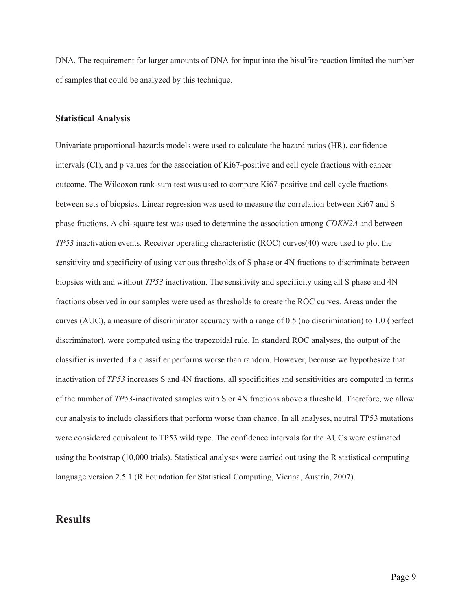DNA. The requirement for larger amounts of DNA for input into the bisulfite reaction limited the number of samples that could be analyzed by this technique.

#### **Statistical Analysis**

Univariate proportional-hazards models were used to calculate the hazard ratios (HR), confidence intervals (CI), and p values for the association of Ki67-positive and cell cycle fractions with cancer outcome. The Wilcoxon rank-sum test was used to compare Ki67-positive and cell cycle fractions between sets of biopsies. Linear regression was used to measure the correlation between Ki67 and S phase fractions. A chi-square test was used to determine the association among *CDKN2A* and between *TP53* inactivation events. Receiver operating characteristic (ROC) curves(40) were used to plot the sensitivity and specificity of using various thresholds of S phase or 4N fractions to discriminate between biopsies with and without *TP53* inactivation. The sensitivity and specificity using all S phase and 4N fractions observed in our samples were used as thresholds to create the ROC curves. Areas under the curves (AUC), a measure of discriminator accuracy with a range of 0.5 (no discrimination) to 1.0 (perfect discriminator), were computed using the trapezoidal rule. In standard ROC analyses, the output of the classifier is inverted if a classifier performs worse than random. However, because we hypothesize that inactivation of *TP53* increases S and 4N fractions, all specificities and sensitivities are computed in terms of the number of *TP53*-inactivated samples with S or 4N fractions above a threshold. Therefore, we allow our analysis to include classifiers that perform worse than chance. In all analyses, neutral TP53 mutations were considered equivalent to TP53 wild type. The confidence intervals for the AUCs were estimated using the bootstrap (10,000 trials). Statistical analyses were carried out using the R statistical computing language version 2.5.1 (R Foundation for Statistical Computing, Vienna, Austria, 2007).

## **Results**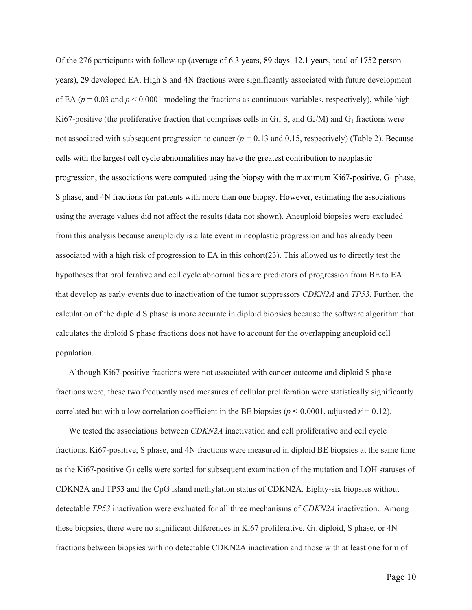Of the 276 participants with follow-up (average of 6.3 years, 89 days–12.1 years, total of 1752 person– years), 29 developed EA. High S and 4N fractions were significantly associated with future development of EA ( $p = 0.03$  and  $p < 0.0001$  modeling the fractions as continuous variables, respectively), while high Ki67-positive (the proliferative fraction that comprises cells in G<sub>1</sub>, S, and G<sub>2</sub>/M) and G<sub>1</sub> fractions were not associated with subsequent progression to cancer  $(p = 0.13$  and 0.15, respectively) (Table 2). Because cells with the largest cell cycle abnormalities may have the greatest contribution to neoplastic progression, the associations were computed using the biopsy with the maximum Ki67-positive,  $G_1$  phase, S phase, and 4N fractions for patients with more than one biopsy. However, estimating the associations using the average values did not affect the results (data not shown). Aneuploid biopsies were excluded from this analysis because aneuploidy is a late event in neoplastic progression and has already been associated with a high risk of progression to EA in this cohort(23). This allowed us to directly test the hypotheses that proliferative and cell cycle abnormalities are predictors of progression from BE to EA that develop as early events due to inactivation of the tumor suppressors *CDKN2A* and *TP53*. Further, the calculation of the diploid S phase is more accurate in diploid biopsies because the software algorithm that calculates the diploid S phase fractions does not have to account for the overlapping aneuploid cell population.

Although Ki67-positive fractions were not associated with cancer outcome and diploid S phase fractions were, these two frequently used measures of cellular proliferation were statistically significantly correlated but with a low correlation coefficient in the BE biopsies ( $p \le 0.0001$ , adjusted  $r^2 = 0.12$ ).

We tested the associations between *CDKN2A* inactivation and cell proliferative and cell cycle fractions. Ki67-positive, S phase, and 4N fractions were measured in diploid BE biopsies at the same time as the Ki67-positive G1 cells were sorted for subsequent examination of the mutation and LOH statuses of CDKN2A and TP53 and the CpG island methylation status of CDKN2A. Eighty-six biopsies without detectable *TP53* inactivation were evaluated for all three mechanisms of *CDKN2A* inactivation. Among these biopsies, there were no significant differences in Ki67 proliferative, G1, diploid, S phase, or 4N fractions between biopsies with no detectable CDKN2A inactivation and those with at least one form of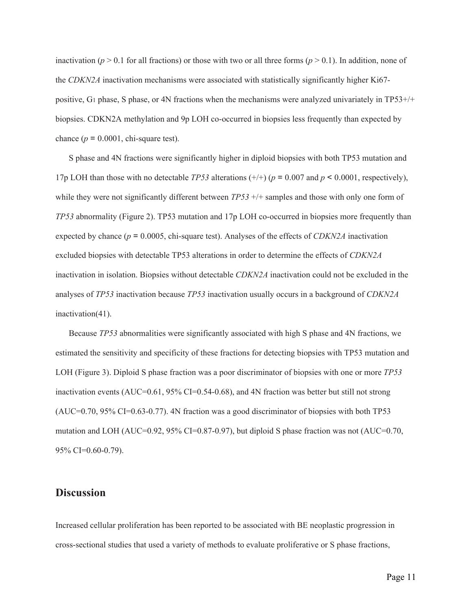inactivation ( $p > 0.1$  for all fractions) or those with two or all three forms ( $p > 0.1$ ). In addition, none of the *CDKN2A* inactivation mechanisms were associated with statistically significantly higher Ki67 positive, G1 phase, S phase, or 4N fractions when the mechanisms were analyzed univariately in TP53+/+ biopsies. CDKN2A methylation and 9p LOH co-occurred in biopsies less frequently than expected by chance  $(p = 0.0001$ , chi-square test).

S phase and 4N fractions were significantly higher in diploid biopsies with both TP53 mutation and 17p LOH than those with no detectable *TP53* alterations (+/+) (*p* = 0.007 and *p* < 0.0001, respectively), while they were not significantly different between *TP53* +/+ samples and those with only one form of *TP53* abnormality (Figure 2). TP53 mutation and 17p LOH co-occurred in biopsies more frequently than expected by chance ( $p = 0.0005$ , chi-square test). Analyses of the effects of *CDKN2A* inactivation excluded biopsies with detectable TP53 alterations in order to determine the effects of *CDKN2A* inactivation in isolation. Biopsies without detectable *CDKN2A* inactivation could not be excluded in the analyses of *TP53* inactivation because *TP53* inactivation usually occurs in a background of *CDKN2A* inactivation(41).

Because *TP53* abnormalities were significantly associated with high S phase and 4N fractions, we estimated the sensitivity and specificity of these fractions for detecting biopsies with TP53 mutation and LOH (Figure 3). Diploid S phase fraction was a poor discriminator of biopsies with one or more *TP53* inactivation events (AUC=0.61, 95% CI=0.54-0.68), and 4N fraction was better but still not strong (AUC=0.70, 95% CI=0.63-0.77). 4N fraction was a good discriminator of biopsies with both TP53 mutation and LOH (AUC=0.92, 95% CI=0.87-0.97), but diploid S phase fraction was not (AUC=0.70, 95% CI=0.60-0.79).

## **Discussion**

Increased cellular proliferation has been reported to be associated with BE neoplastic progression in cross-sectional studies that used a variety of methods to evaluate proliferative or S phase fractions,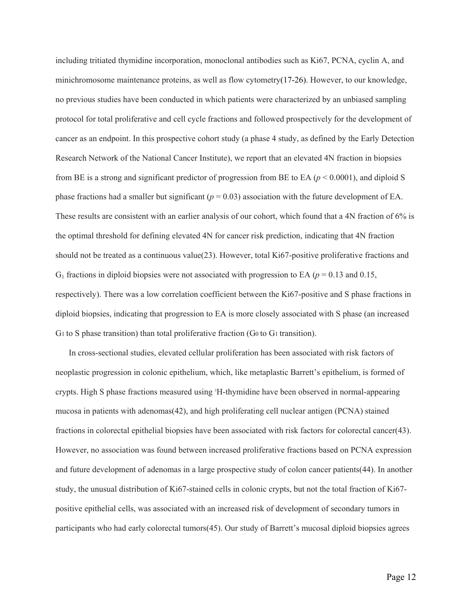including tritiated thymidine incorporation, monoclonal antibodies such as Ki67, PCNA, cyclin A, and minichromosome maintenance proteins, as well as flow cytometry $(17-26)$ . However, to our knowledge, no previous studies have been conducted in which patients were characterized by an unbiased sampling protocol for total proliferative and cell cycle fractions and followed prospectively for the development of cancer as an endpoint. In this prospective cohort study (a phase 4 study, as defined by the Early Detection Research Network of the National Cancer Institute), we report that an elevated 4N fraction in biopsies from BE is a strong and significant predictor of progression from BE to EA (*p* < 0.0001), and diploid S phase fractions had a smaller but significant ( $p = 0.03$ ) association with the future development of EA. These results are consistent with an earlier analysis of our cohort, which found that a 4N fraction of 6% is the optimal threshold for defining elevated 4N for cancer risk prediction, indicating that 4N fraction should not be treated as a continuous value(23). However, total Ki67-positive proliferative fractions and  $G_1$  fractions in diploid biopsies were not associated with progression to EA ( $p = 0.13$  and 0.15, respectively). There was a low correlation coefficient between the Ki67-positive and S phase fractions in diploid biopsies, indicating that progression to EA is more closely associated with S phase (an increased G<sub>1</sub> to S phase transition) than total proliferative fraction (G<sub>0</sub> to G<sub>1</sub> transition).

In cross-sectional studies, elevated cellular proliferation has been associated with risk factors of neoplastic progression in colonic epithelium, which, like metaplastic Barrett's epithelium, is formed of crypts. High S phase fractions measured using <sup>3</sup>H-thymidine have been observed in normal-appearing mucosa in patients with adenomas(42), and high proliferating cell nuclear antigen (PCNA) stained fractions in colorectal epithelial biopsies have been associated with risk factors for colorectal cancer(43). However, no association was found between increased proliferative fractions based on PCNA expression and future development of adenomas in a large prospective study of colon cancer patients(44). In another study, the unusual distribution of Ki67-stained cells in colonic crypts, but not the total fraction of Ki67 positive epithelial cells, was associated with an increased risk of development of secondary tumors in participants who had early colorectal tumors(45). Our study of Barrett's mucosal diploid biopsies agrees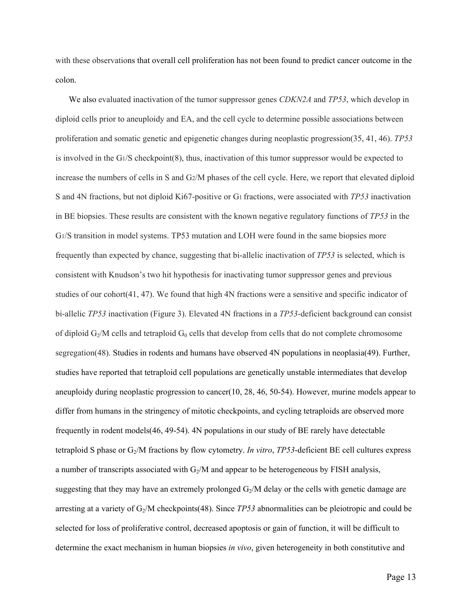with these observations that overall cell proliferation has not been found to predict cancer outcome in the colon.

We also evaluated inactivation of the tumor suppressor genes *CDKN2A* and *TP53*, which develop in diploid cells prior to aneuploidy and EA, and the cell cycle to determine possible associations between proliferation and somatic genetic and epigenetic changes during neoplastic progression(35, 41, 46). *TP53*  is involved in the G1/S checkpoint(8), thus, inactivation of this tumor suppressor would be expected to increase the numbers of cells in S and G2/M phases of the cell cycle. Here, we report that elevated diploid S and 4N fractions, but not diploid Ki67-positive or G1 fractions, were associated with *TP53* inactivation in BE biopsies. These results are consistent with the known negative regulatory functions of *TP53* in the G1/S transition in model systems. TP53 mutation and LOH were found in the same biopsies more frequently than expected by chance, suggesting that bi-allelic inactivation of *TP53* is selected, which is consistent with Knudson's two hit hypothesis for inactivating tumor suppressor genes and previous studies of our cohort(41, 47). We found that high 4N fractions were a sensitive and specific indicator of bi-allelic *TP53* inactivation (Figure 3). Elevated 4N fractions in a *TP53*-deficient background can consist of diploid  $G_2/M$  cells and tetraploid  $G_0$  cells that develop from cells that do not complete chromosome segregation(48). Studies in rodents and humans have observed 4N populations in neoplasia(49). Further, studies have reported that tetraploid cell populations are genetically unstable intermediates that develop aneuploidy during neoplastic progression to cancer(10, 28, 46, 50-54). However, murine models appear to differ from humans in the stringency of mitotic checkpoints, and cycling tetraploids are observed more frequently in rodent models(46, 49-54). 4N populations in our study of BE rarely have detectable tetraploid S phase or G<sub>2</sub>/M fractions by flow cytometry. *In vitro*, *TP53*-deficient BE cell cultures express a number of transcripts associated with  $G_2/M$  and appear to be heterogeneous by FISH analysis, suggesting that they may have an extremely prolonged  $G<sub>2</sub>/M$  delay or the cells with genetic damage are arresting at a variety of G<sub>2</sub>/M checkpoints(48). Since *TP53* abnormalities can be pleiotropic and could be selected for loss of proliferative control, decreased apoptosis or gain of function, it will be difficult to determine the exact mechanism in human biopsies *in vivo*, given heterogeneity in both constitutive and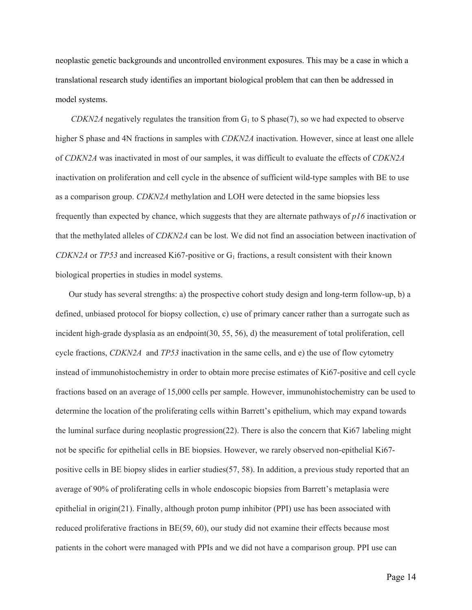neoplastic genetic backgrounds and uncontrolled environment exposures. This may be a case in which a translational research study identifies an important biological problem that can then be addressed in model systems.

*CDKN2A* negatively regulates the transition from  $G_1$  to S phase(7), so we had expected to observe higher S phase and 4N fractions in samples with *CDKN2A* inactivation. However, since at least one allele of *CDKN2A* was inactivated in most of our samples, it was difficult to evaluate the effects of *CDKN2A* inactivation on proliferation and cell cycle in the absence of sufficient wild-type samples with BE to use as a comparison group. *CDKN2A* methylation and LOH were detected in the same biopsies less frequently than expected by chance, which suggests that they are alternate pathways of *p16* inactivation or that the methylated alleles of *CDKN2A* can be lost. We did not find an association between inactivation of *CDKN2A* or *TP53* and increased Ki67-positive or  $G_1$  fractions, a result consistent with their known biological properties in studies in model systems.

Our study has several strengths: a) the prospective cohort study design and long-term follow-up, b) a defined, unbiased protocol for biopsy collection, c) use of primary cancer rather than a surrogate such as incident high-grade dysplasia as an endpoint(30, 55, 56), d) the measurement of total proliferation, cell cycle fractions, *CDKN2A* and *TP53* inactivation in the same cells, and e) the use of flow cytometry instead of immunohistochemistry in order to obtain more precise estimates of Ki67-positive and cell cycle fractions based on an average of 15,000 cells per sample. However, immunohistochemistry can be used to determine the location of the proliferating cells within Barrett's epithelium, which may expand towards the luminal surface during neoplastic progression(22). There is also the concern that Ki67 labeling might not be specific for epithelial cells in BE biopsies. However, we rarely observed non-epithelial Ki67 positive cells in BE biopsy slides in earlier studies(57, 58). In addition, a previous study reported that an average of 90% of proliferating cells in whole endoscopic biopsies from Barrett's metaplasia were epithelial in origin(21). Finally, although proton pump inhibitor (PPI) use has been associated with reduced proliferative fractions in BE(59, 60), our study did not examine their effects because most patients in the cohort were managed with PPIs and we did not have a comparison group. PPI use can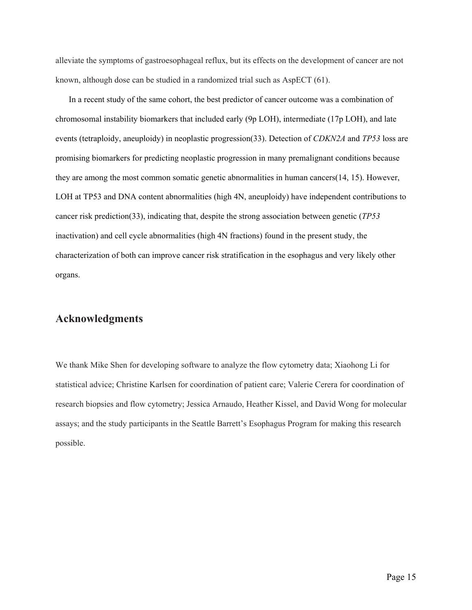alleviate the symptoms of gastroesophageal reflux, but its effects on the development of cancer are not known, although dose can be studied in a randomized trial such as AspECT (61).

In a recent study of the same cohort, the best predictor of cancer outcome was a combination of chromosomal instability biomarkers that included early (9p LOH), intermediate (17p LOH), and late events (tetraploidy, aneuploidy) in neoplastic progression(33). Detection of *CDKN2A* and *TP53* loss are promising biomarkers for predicting neoplastic progression in many premalignant conditions because they are among the most common somatic genetic abnormalities in human cancers(14, 15). However, LOH at TP53 and DNA content abnormalities (high 4N, aneuploidy) have independent contributions to cancer risk prediction(33), indicating that, despite the strong association between genetic (*TP53* inactivation) and cell cycle abnormalities (high 4N fractions) found in the present study, the characterization of both can improve cancer risk stratification in the esophagus and very likely other organs.

## **Acknowledgments**

We thank Mike Shen for developing software to analyze the flow cytometry data; Xiaohong Li for statistical advice; Christine Karlsen for coordination of patient care; Valerie Cerera for coordination of research biopsies and flow cytometry; Jessica Arnaudo, Heather Kissel, and David Wong for molecular assays; and the study participants in the Seattle Barrett's Esophagus Program for making this research possible.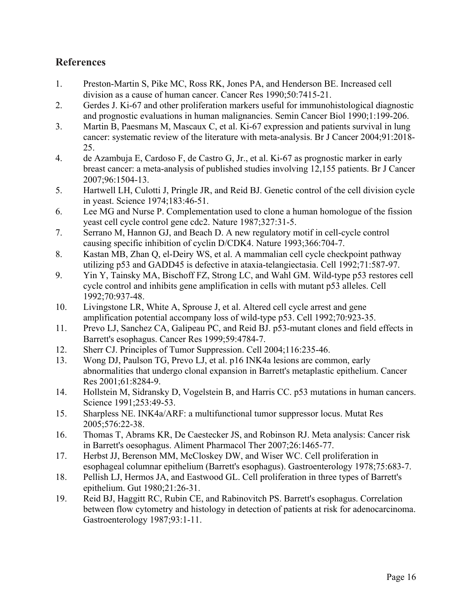# **References**

- 1. Preston-Martin S, Pike MC, Ross RK, Jones PA, and Henderson BE. Increased cell division as a cause of human cancer. Cancer Res 1990;50:7415-21.
- 2. Gerdes J. Ki-67 and other proliferation markers useful for immunohistological diagnostic and prognostic evaluations in human malignancies. Semin Cancer Biol 1990;1:199-206.
- 3. Martin B, Paesmans M, Mascaux C, et al. Ki-67 expression and patients survival in lung cancer: systematic review of the literature with meta-analysis. Br J Cancer 2004;91:2018- 25.
- 4. de Azambuja E, Cardoso F, de Castro G, Jr., et al. Ki-67 as prognostic marker in early breast cancer: a meta-analysis of published studies involving 12,155 patients. Br J Cancer 2007;96:1504-13.
- 5. Hartwell LH, Culotti J, Pringle JR, and Reid BJ. Genetic control of the cell division cycle in yeast. Science 1974;183:46-51.
- 6. Lee MG and Nurse P. Complementation used to clone a human homologue of the fission yeast cell cycle control gene cdc2. Nature 1987;327:31-5.
- 7. Serrano M, Hannon GJ, and Beach D. A new regulatory motif in cell-cycle control causing specific inhibition of cyclin D/CDK4. Nature 1993;366:704-7.
- 8. Kastan MB, Zhan Q, el-Deiry WS, et al. A mammalian cell cycle checkpoint pathway utilizing p53 and GADD45 is defective in ataxia-telangiectasia. Cell 1992;71:587-97.
- 9. Yin Y, Tainsky MA, Bischoff FZ, Strong LC, and Wahl GM. Wild-type p53 restores cell cycle control and inhibits gene amplification in cells with mutant p53 alleles. Cell 1992;70:937-48.
- 10. Livingstone LR, White A, Sprouse J, et al. Altered cell cycle arrest and gene amplification potential accompany loss of wild-type p53. Cell 1992;70:923-35.
- 11. Prevo LJ, Sanchez CA, Galipeau PC, and Reid BJ. p53-mutant clones and field effects in Barrett's esophagus. Cancer Res 1999;59:4784-7.
- 12. Sherr CJ. Principles of Tumor Suppression. Cell 2004;116:235-46.
- 13. Wong DJ, Paulson TG, Prevo LJ, et al. p16 INK4a lesions are common, early abnormalities that undergo clonal expansion in Barrett's metaplastic epithelium. Cancer Res 2001;61:8284-9.
- 14. Hollstein M, Sidransky D, Vogelstein B, and Harris CC. p53 mutations in human cancers. Science 1991;253:49-53.
- 15. Sharpless NE. INK4a/ARF: a multifunctional tumor suppressor locus. Mutat Res 2005;576:22-38.
- 16. Thomas T, Abrams KR, De Caestecker JS, and Robinson RJ. Meta analysis: Cancer risk in Barrett's oesophagus. Aliment Pharmacol Ther 2007;26:1465-77.
- 17. Herbst JJ, Berenson MM, McCloskey DW, and Wiser WC. Cell proliferation in esophageal columnar epithelium (Barrett's esophagus). Gastroenterology 1978;75:683-7.
- 18. Pellish LJ, Hermos JA, and Eastwood GL. Cell proliferation in three types of Barrett's epithelium. Gut 1980;21:26-31.
- 19. Reid BJ, Haggitt RC, Rubin CE, and Rabinovitch PS. Barrett's esophagus. Correlation between flow cytometry and histology in detection of patients at risk for adenocarcinoma. Gastroenterology 1987;93:1-11.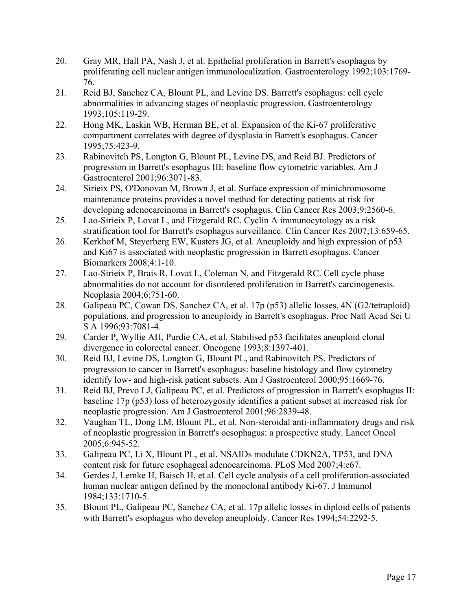- 20. Gray MR, Hall PA, Nash J, et al. Epithelial proliferation in Barrett's esophagus by proliferating cell nuclear antigen immunolocalization. Gastroenterology 1992;103:1769- 76.
- 21. Reid BJ, Sanchez CA, Blount PL, and Levine DS. Barrett's esophagus: cell cycle abnormalities in advancing stages of neoplastic progression. Gastroenterology 1993;105:119-29.
- 22. Hong MK, Laskin WB, Herman BE, et al. Expansion of the Ki-67 proliferative compartment correlates with degree of dysplasia in Barrett's esophagus. Cancer 1995;75:423-9.
- 23. Rabinovitch PS, Longton G, Blount PL, Levine DS, and Reid BJ. Predictors of progression in Barrett's esophagus III: baseline flow cytometric variables. Am J Gastroenterol 2001;96:3071-83.
- 24. Sirieix PS, O'Donovan M, Brown J, et al. Surface expression of minichromosome maintenance proteins provides a novel method for detecting patients at risk for developing adenocarcinoma in Barrett's esophagus. Clin Cancer Res 2003;9:2560-6.
- 25. Lao-Sirieix P, Lovat L, and Fitzgerald RC. Cyclin A immunocytology as a risk stratification tool for Barrett's esophagus surveillance. Clin Cancer Res 2007;13:659-65.
- 26. Kerkhof M, Steyerberg EW, Kusters JG, et al. Aneuploidy and high expression of p53 and Ki67 is associated with neoplastic progression in Barrett esophagus. Cancer Biomarkers 2008;4:1-10.
- 27. Lao-Sirieix P, Brais R, Lovat L, Coleman N, and Fitzgerald RC. Cell cycle phase abnormalities do not account for disordered proliferation in Barrett's carcinogenesis. Neoplasia 2004;6:751-60.
- 28. Galipeau PC, Cowan DS, Sanchez CA, et al. 17p (p53) allelic losses, 4N (G2/tetraploid) populations, and progression to aneuploidy in Barrett's esophagus. Proc Natl Acad Sci U S A 1996;93:7081-4.
- 29. Carder P, Wyllie AH, Purdie CA, et al. Stabilised p53 facilitates aneuploid clonal divergence in colorectal cancer. Oncogene 1993;8:1397-401.
- 30. Reid BJ, Levine DS, Longton G, Blount PL, and Rabinovitch PS. Predictors of progression to cancer in Barrett's esophagus: baseline histology and flow cytometry identify low- and high-risk patient subsets. Am J Gastroenterol 2000;95:1669-76.
- 31. Reid BJ, Prevo LJ, Galipeau PC, et al. Predictors of progression in Barrett's esophagus II: baseline 17p (p53) loss of heterozygosity identifies a patient subset at increased risk for neoplastic progression. Am J Gastroenterol 2001;96:2839-48.
- 32. Vaughan TL, Dong LM, Blount PL, et al. Non-steroidal anti-inflammatory drugs and risk of neoplastic progression in Barrett's oesophagus: a prospective study. Lancet Oncol 2005;6:945-52.
- 33. Galipeau PC, Li X, Blount PL, et al. NSAIDs modulate CDKN2A, TP53, and DNA content risk for future esophageal adenocarcinoma. PLoS Med 2007;4:e67.
- 34. Gerdes J, Lemke H, Baisch H, et al. Cell cycle analysis of a cell proliferation-associated human nuclear antigen defined by the monoclonal antibody Ki-67. J Immunol 1984;133:1710-5.
- 35. Blount PL, Galipeau PC, Sanchez CA, et al. 17p allelic losses in diploid cells of patients with Barrett's esophagus who develop aneuploidy. Cancer Res 1994;54:2292-5.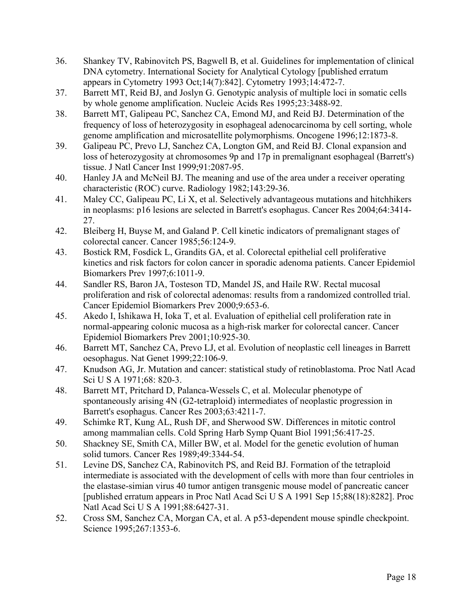- 36. Shankey TV, Rabinovitch PS, Bagwell B, et al. Guidelines for implementation of clinical DNA cytometry. International Society for Analytical Cytology [published erratum appears in Cytometry 1993 Oct;14(7):842]. Cytometry 1993;14:472-7.
- 37. Barrett MT, Reid BJ, and Joslyn G. Genotypic analysis of multiple loci in somatic cells by whole genome amplification. Nucleic Acids Res 1995;23:3488-92.
- 38. Barrett MT, Galipeau PC, Sanchez CA, Emond MJ, and Reid BJ. Determination of the frequency of loss of heterozygosity in esophageal adenocarcinoma by cell sorting, whole genome amplification and microsatellite polymorphisms. Oncogene 1996;12:1873-8.
- 39. Galipeau PC, Prevo LJ, Sanchez CA, Longton GM, and Reid BJ. Clonal expansion and loss of heterozygosity at chromosomes 9p and 17p in premalignant esophageal (Barrett's) tissue. J Natl Cancer Inst 1999;91:2087-95.
- 40. Hanley JA and McNeil BJ. The meaning and use of the area under a receiver operating characteristic (ROC) curve. Radiology 1982;143:29-36.
- 41. Maley CC, Galipeau PC, Li X, et al. Selectively advantageous mutations and hitchhikers in neoplasms: p16 lesions are selected in Barrett's esophagus. Cancer Res 2004;64:3414- 27.
- 42. Bleiberg H, Buyse M, and Galand P. Cell kinetic indicators of premalignant stages of colorectal cancer. Cancer 1985;56:124-9.
- 43. Bostick RM, Fosdick L, Grandits GA, et al. Colorectal epithelial cell proliferative kinetics and risk factors for colon cancer in sporadic adenoma patients. Cancer Epidemiol Biomarkers Prev 1997;6:1011-9.
- 44. Sandler RS, Baron JA, Tosteson TD, Mandel JS, and Haile RW. Rectal mucosal proliferation and risk of colorectal adenomas: results from a randomized controlled trial. Cancer Epidemiol Biomarkers Prev 2000;9:653-6.
- 45. Akedo I, Ishikawa H, Ioka T, et al. Evaluation of epithelial cell proliferation rate in normal-appearing colonic mucosa as a high-risk marker for colorectal cancer. Cancer Epidemiol Biomarkers Prev 2001;10:925-30.
- 46. Barrett MT, Sanchez CA, Prevo LJ, et al. Evolution of neoplastic cell lineages in Barrett oesophagus. Nat Genet 1999;22:106-9.
- 47. Knudson AG, Jr. Mutation and cancer: statistical study of retinoblastoma. Proc Natl Acad Sci U S A 1971;68: 820-3.
- 48. Barrett MT, Pritchard D, Palanca-Wessels C, et al. Molecular phenotype of spontaneously arising 4N (G2-tetraploid) intermediates of neoplastic progression in Barrett's esophagus. Cancer Res 2003;63:4211-7.
- 49. Schimke RT, Kung AL, Rush DF, and Sherwood SW. Differences in mitotic control among mammalian cells. Cold Spring Harb Symp Quant Biol 1991;56:417-25.
- 50. Shackney SE, Smith CA, Miller BW, et al. Model for the genetic evolution of human solid tumors. Cancer Res 1989;49:3344-54.
- 51. Levine DS, Sanchez CA, Rabinovitch PS, and Reid BJ. Formation of the tetraploid intermediate is associated with the development of cells with more than four centrioles in the elastase-simian virus 40 tumor antigen transgenic mouse model of pancreatic cancer [published erratum appears in Proc Natl Acad Sci U S A 1991 Sep 15;88(18):8282]. Proc Natl Acad Sci U S A 1991;88:6427-31.
- 52. Cross SM, Sanchez CA, Morgan CA, et al. A p53-dependent mouse spindle checkpoint. Science 1995;267:1353-6.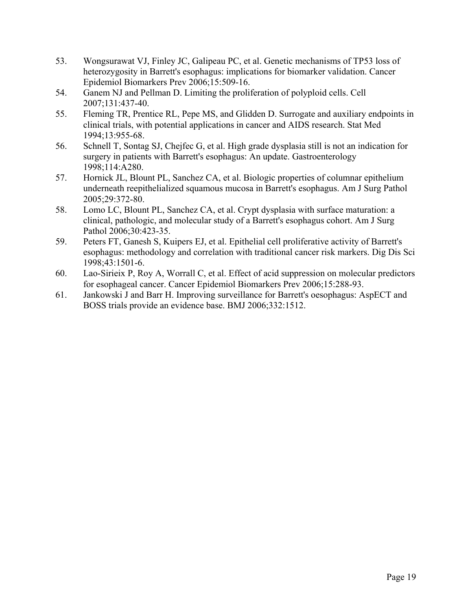- 53. Wongsurawat VJ, Finley JC, Galipeau PC, et al. Genetic mechanisms of TP53 loss of heterozygosity in Barrett's esophagus: implications for biomarker validation. Cancer Epidemiol Biomarkers Prev 2006;15:509-16.
- 54. Ganem NJ and Pellman D. Limiting the proliferation of polyploid cells. Cell 2007;131:437-40.
- 55. Fleming TR, Prentice RL, Pepe MS, and Glidden D. Surrogate and auxiliary endpoints in clinical trials, with potential applications in cancer and AIDS research. Stat Med 1994;13:955-68.
- 56. Schnell T, Sontag SJ, Chejfec G, et al. High grade dysplasia still is not an indication for surgery in patients with Barrett's esophagus: An update. Gastroenterology 1998;114:A280.
- 57. Hornick JL, Blount PL, Sanchez CA, et al. Biologic properties of columnar epithelium underneath reepithelialized squamous mucosa in Barrett's esophagus. Am J Surg Pathol 2005;29:372-80.
- 58. Lomo LC, Blount PL, Sanchez CA, et al. Crypt dysplasia with surface maturation: a clinical, pathologic, and molecular study of a Barrett's esophagus cohort. Am J Surg Pathol 2006;30:423-35.
- 59. Peters FT, Ganesh S, Kuipers EJ, et al. Epithelial cell proliferative activity of Barrett's esophagus: methodology and correlation with traditional cancer risk markers. Dig Dis Sci 1998;43:1501-6.
- 60. Lao-Sirieix P, Roy A, Worrall C, et al. Effect of acid suppression on molecular predictors for esophageal cancer. Cancer Epidemiol Biomarkers Prev 2006;15:288-93.
- 61. Jankowski J and Barr H. Improving surveillance for Barrett's oesophagus: AspECT and BOSS trials provide an evidence base. BMJ 2006;332:1512.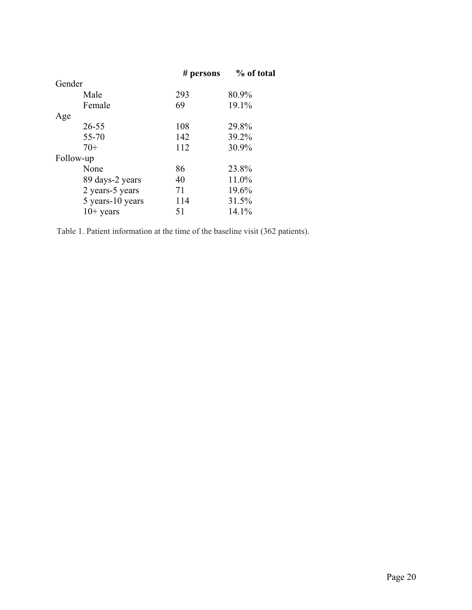| # persons | % of total |
|-----------|------------|
|           |            |
| 293       | 80.9%      |
| 69        | 19.1%      |
|           |            |
| 108       | 29.8%      |
| 142       | 39.2%      |
| 112       | 30.9%      |
|           |            |
| 86        | 23.8%      |
| 40        | 11.0%      |
| 71        | 19.6%      |
| 114       | 31.5%      |
| 51        | 14.1%      |
|           |            |

Table 1. Patient information at the time of the baseline visit (362 patients).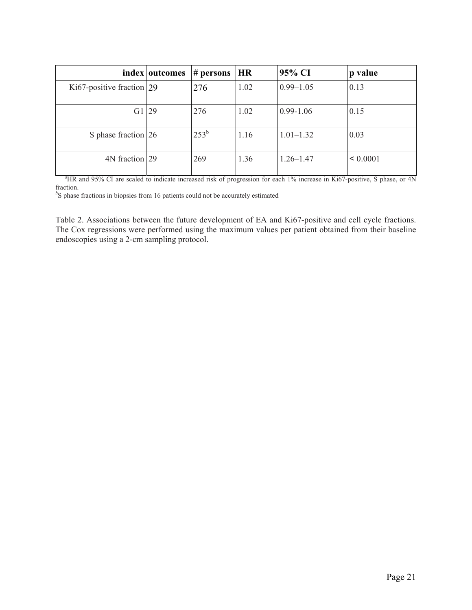|                               | index outcomes | $#$ persons | <b>HR</b> | 95% CI        | p value       |
|-------------------------------|----------------|-------------|-----------|---------------|---------------|
| Ki67-positive fraction $ 29 $ |                | 276         | 1.02      | $0.99 - 1.05$ | 0.13          |
| G1 29                         |                | 276         | 1.02      | $0.99 - 1.06$ | 0.15          |
| S phase fraction 26           |                | $253^b$     | 1.16      | $1.01 - 1.32$ | 0.03          |
| 4N fraction 29                |                | 269         | 1.36      | $1.26 - 1.47$ | $\leq 0.0001$ |

<sup>a</sup>HR and 95% CI are scaled to indicate increased risk of progression for each 1% increase in Ki67-positive, S phase, or 4N fraction.

*b* S phase fractions in biopsies from 16 patients could not be accurately estimated

Table 2. Associations between the future development of EA and Ki67-positive and cell cycle fractions. The Cox regressions were performed using the maximum values per patient obtained from their baseline endoscopies using a 2-cm sampling protocol.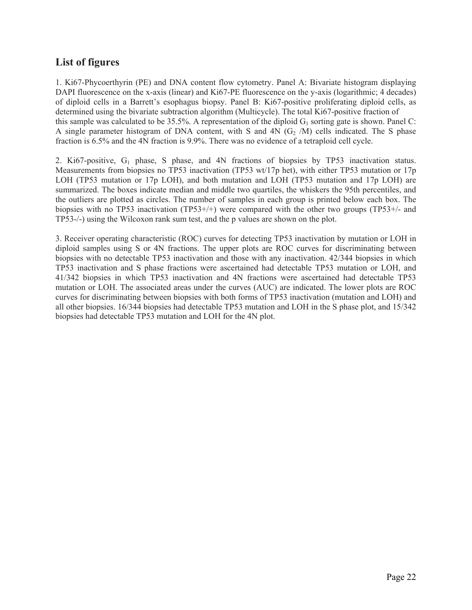# **List of figures**

1. Ki67-Phycoerthyrin (PE) and DNA content flow cytometry. Panel A: Bivariate histogram displaying DAPI fluorescence on the x-axis (linear) and Ki67-PE fluorescence on the y-axis (logarithmic; 4 decades) of diploid cells in a Barrett's esophagus biopsy. Panel B: Ki67-positive proliferating diploid cells, as determined using the bivariate subtraction algorithm (Multicycle). The total Ki67-positive fraction of this sample was calculated to be 35.5%. A representation of the diploid  $G_1$  sorting gate is shown. Panel C: A single parameter histogram of DNA content, with S and  $4N$  (G<sub>2</sub> /M) cells indicated. The S phase fraction is 6.5% and the 4N fraction is 9.9%. There was no evidence of a tetraploid cell cycle.

2. Ki67-positive, G<sub>1</sub> phase, S phase, and 4N fractions of biopsies by TP53 inactivation status. Measurements from biopsies no TP53 inactivation (TP53 wt/17p het), with either TP53 mutation or 17p LOH (TP53 mutation or 17p LOH), and both mutation and LOH (TP53 mutation and 17p LOH) are summarized. The boxes indicate median and middle two quartiles, the whiskers the 95th percentiles, and the outliers are plotted as circles. The number of samples in each group is printed below each box. The biopsies with no TP53 inactivation (TP53+/+) were compared with the other two groups (TP53+/- and TP53-/-) using the Wilcoxon rank sum test, and the p values are shown on the plot.

3. Receiver operating characteristic (ROC) curves for detecting TP53 inactivation by mutation or LOH in diploid samples using S or 4N fractions. The upper plots are ROC curves for discriminating between biopsies with no detectable TP53 inactivation and those with any inactivation. 42/344 biopsies in which TP53 inactivation and S phase fractions were ascertained had detectable TP53 mutation or LOH, and 41/342 biopsies in which TP53 inactivation and 4N fractions were ascertained had detectable TP53 mutation or LOH. The associated areas under the curves (AUC) are indicated. The lower plots are ROC curves for discriminating between biopsies with both forms of TP53 inactivation (mutation and LOH) and all other biopsies. 16/344 biopsies had detectable TP53 mutation and LOH in the S phase plot, and 15/342 biopsies had detectable TP53 mutation and LOH for the 4N plot.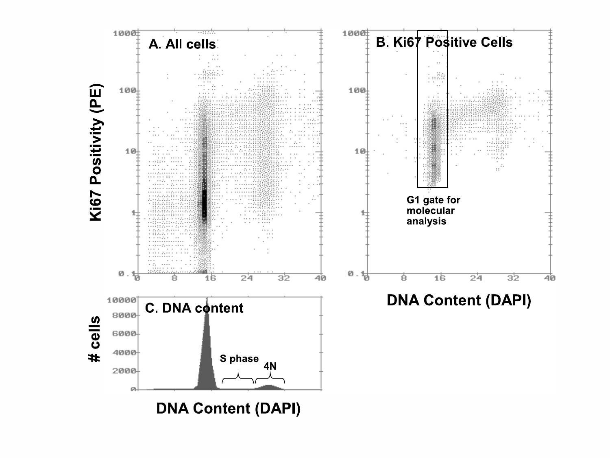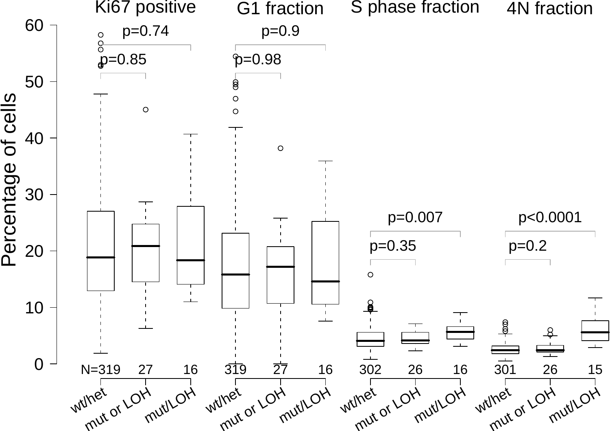